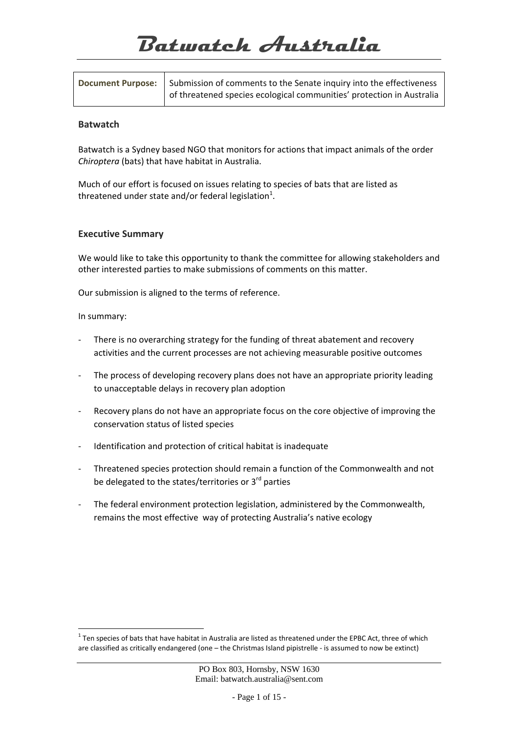# **Batwatch Australia**

| <b>Document Purpose:</b> | Submission of comments to the Senate inquiry into the effectiveness   |
|--------------------------|-----------------------------------------------------------------------|
|                          | of threatened species ecological communities' protection in Australia |

#### **Batwatch**

Batwatch is a Sydney based NGO that monitors for actions that impact animals of the order *Chiroptera* (bats) that have habitat in Australia.

Much of our effort is focused on issues relating to species of bats that are listed as threatened under state and/or federal legislation $^{1}$ .

## **Executive Summary**

We would like to take this opportunity to thank the committee for allowing stakeholders and other interested parties to make submissions of comments on this matter.

Our submission is aligned to the terms of reference.

In summary:

 $\overline{a}$ 

- There is no overarching strategy for the funding of threat abatement and recovery activities and the current processes are not achieving measurable positive outcomes
- The process of developing recovery plans does not have an appropriate priority leading to unacceptable delays in recovery plan adoption
- Recovery plans do not have an appropriate focus on the core objective of improving the conservation status of listed species
- Identification and protection of critical habitat is inadequate
- ‐ Threatened species protection should remain a function of the Commonwealth and not be delegated to the states/territories or 3<sup>rd</sup> parties
- ‐ The federal environment protection legislation, administered by the Commonwealth, remains the most effective way of protecting Australia's native ecology

 $1$  Ten species of bats that have habitat in Australia are listed as threatened under the EPBC Act, three of which are classified as critically endangered (one – the Christmas Island pipistrelle ‐ is assumed to now be extinct)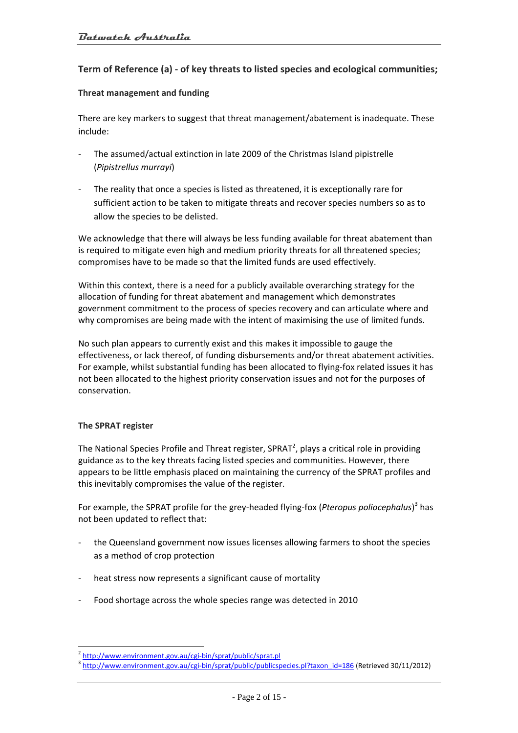# **Term of Reference (a) ‐ of key threats to listed species and ecological communities;**

#### **Threat management and funding**

There are key markers to suggest that threat management/abatement is inadequate. These include:

- The assumed/actual extinction in late 2009 of the Christmas Island pipistrelle (*Pipistrellus murrayi*)
- The reality that once a species is listed as threatened, it is exceptionally rare for sufficient action to be taken to mitigate threats and recover species numbers so as to allow the species to be delisted.

We acknowledge that there will always be less funding available for threat abatement than is required to mitigate even high and medium priority threats for all threatened species; compromises have to be made so that the limited funds are used effectively.

Within this context, there is a need for a publicly available overarching strategy for the allocation of funding for threat abatement and management which demonstrates government commitment to the process of species recovery and can articulate where and why compromises are being made with the intent of maximising the use of limited funds.

No such plan appears to currently exist and this makes it impossible to gauge the effectiveness, or lack thereof, of funding disbursements and/or threat abatement activities. For example, whilst substantial funding has been allocated to flying‐fox related issues it has not been allocated to the highest priority conservation issues and not for the purposes of conservation.

#### **The SPRAT register**

 $\overline{a}$ 

The National Species Profile and Threat register, SPRAT<sup>2</sup>, plays a critical role in providing guidance as to the key threats facing listed species and communities. However, there appears to be little emphasis placed on maintaining the currency of the SPRAT profiles and this inevitably compromises the value of the register.

For example, the SPRAT profile for the grey‐headed flying‐fox (*Pteropus poliocephalus*) <sup>3</sup> has not been updated to reflect that:

- ‐ the Queensland government now issues licenses allowing farmers to shoot the species as a method of crop protection
- ‐ heat stress now represents a significant cause of mortality
- ‐ Food shortage across the whole species range was detected in 2010

 $\frac{2}{3}$  http://www.environment.gov.au/cgi-bin/sprat/public/sprat.pl<br> $\frac{3}{1}$ http://www.environment.gov.au/cgi-bin/sprat/public/publicspecies.pl?taxon\_id=186 (Retrieved 30/11/2012)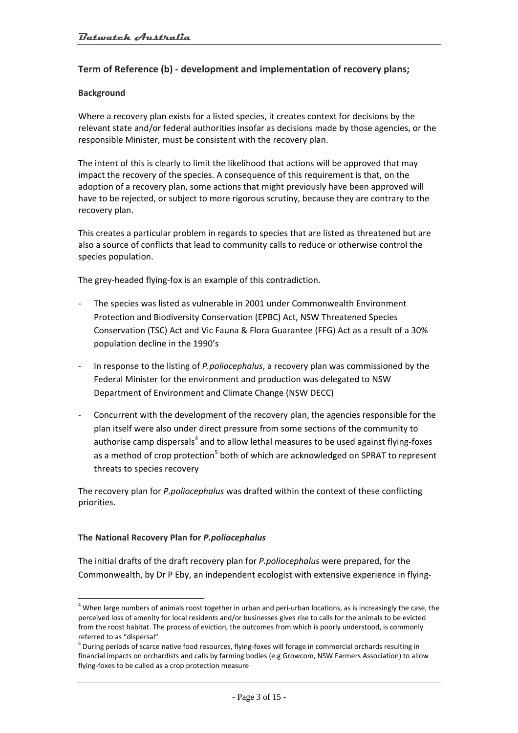# **Term of Reference (b) ‐ development and implementation of recovery plans;**

#### **Background**

Where a recovery plan exists for a listed species, it creates context for decisions by the relevant state and/or federal authorities insofar as decisions made by those agencies, or the responsible Minister, must be consistent with the recovery plan.

The intent of this is clearly to limit the likelihood that actions will be approved that may impact the recovery of the species. A consequence of this requirement is that, on the adoption of a recovery plan, some actions that might previously have been approved will have to be rejected, or subject to more rigorous scrutiny, because they are contrary to the recovery plan.

This creates a particular problem in regards to species that are listed as threatened but are also a source of conflicts that lead to community calls to reduce or otherwise control the species population.

The grey‐headed flying‐fox is an example of this contradiction.

- ‐ The species was listed as vulnerable in 2001 under Commonwealth Environment Protection and Biodiversity Conservation (EPBC) Act, NSW Threatened Species Conservation (TSC) Act and Vic Fauna & Flora Guarantee (FFG) Act as a result of a 30% population decline in the 1990's
- ‐ In response to the listing of *P.poliocephalus*, a recovery plan was commissioned by the Federal Minister for the environment and production was delegated to NSW Department of Environment and Climate Change (NSW DECC)
- ‐ Concurrent with the development of the recovery plan, the agencies responsible for the plan itself were also under direct pressure from some sections of the community to authorise camp dispersals $4$  and to allow lethal measures to be used against flying-foxes as a method of crop protection<sup>5</sup> both of which are acknowledged on SPRAT to represent threats to species recovery

The recovery plan for *P.poliocephalus* was drafted within the context of these conflicting priorities.

#### **The National Recovery Plan for** *P.poliocephalus*

 $\overline{a}$ 

The initial drafts of the draft recovery plan for *P.poliocephalus* were prepared, for the Commonwealth, by Dr P Eby, an independent ecologist with extensive experience in flying‐

 $4$  When large numbers of animals roost together in urban and peri-urban locations, as is increasingly the case, the perceived loss of amenity for local residents and/or businesses gives rise to calls for the animals to be evicted from the roost habitat. The process of eviction, the outcomes from which is poorly understood, is commonly referred to as "dispersal"<br><sup>5</sup> During periods of scarce native food resources, flying-foxes will forage in commercial orchards resulting in

financial impacts on orchardists and calls by farming bodies (e.g Growcom, NSW Farmers Association) to allow flying‐foxes to be culled as a crop protection measure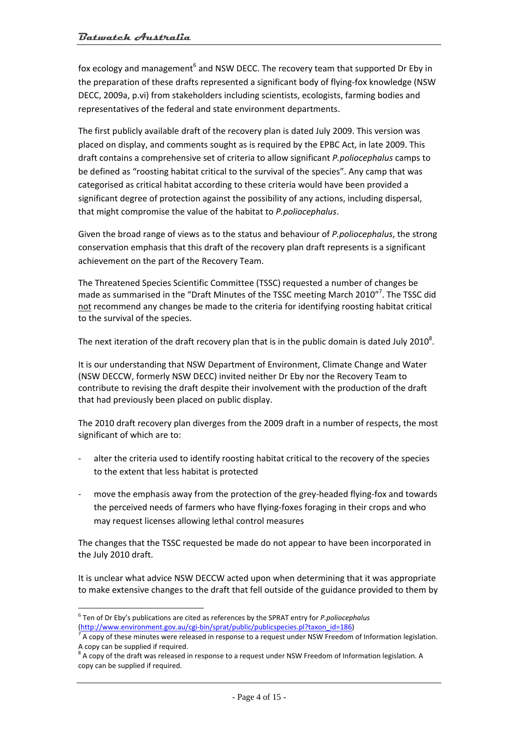fox ecology and management<sup>6</sup> and NSW DECC. The recovery team that supported Dr Eby in the preparation of these drafts represented a significant body of flying-fox knowledge (NSW DECC, 2009a, p.vi) from stakeholders including scientists, ecologists, farming bodies and representatives of the federal and state environment departments.

The first publicly available draft of the recovery plan is dated July 2009. This version was placed on display, and comments sought as is required by the EPBC Act, in late 2009. This draft contains a comprehensive set of criteria to allow significant *P.poliocephalus* camps to be defined as "roosting habitat critical to the survival of the species". Any camp that was categorised as critical habitat according to these criteria would have been provided a significant degree of protection against the possibility of any actions, including dispersal, that might compromise the value of the habitat to *P.poliocephalus*.

Given the broad range of views as to the status and behaviour of *P.poliocephalus*, the strong conservation emphasis that this draft of the recovery plan draft represents is a significant achievement on the part of the Recovery Team.

The Threatened Species Scientific Committee (TSSC) requested a number of changes be made as summarised in the "Draft Minutes of the TSSC meeting March 2010"<sup>7</sup>. The TSSC did not recommend any changes be made to the criteria for identifying roosting habitat critical to the survival of the species.

The next iteration of the draft recovery plan that is in the public domain is dated July 2010<sup>8</sup>.

It is our understanding that NSW Department of Environment, Climate Change and Water (NSW DECCW, formerly NSW DECC) invited neither Dr Eby nor the Recovery Team to contribute to revising the draft despite their involvement with the production of the draft that had previously been placed on public display.

The 2010 draft recovery plan diverges from the 2009 draft in a number of respects, the most significant of which are to:

- alter the criteria used to identify roosting habitat critical to the recovery of the species to the extent that less habitat is protected
- ‐ move the emphasis away from the protection of the grey‐headed flying‐fox and towards the perceived needs of farmers who have flying‐foxes foraging in their crops and who may request licenses allowing lethal control measures

The changes that the TSSC requested be made do not appear to have been incorporated in the July 2010 draft.

It is unclear what advice NSW DECCW acted upon when determining that it was appropriate to make extensive changes to the draft that fell outside of the guidance provided to them by

 $\overline{a}$ 

<sup>6</sup> Ten of Dr Eby's publications are cited as references by the SPRAT entry for *P.poliocephalus*

<sup>(</sup>http://www.environment.gov.au/cgi-bin/sprat/public/publicspecies.pl?taxon\_id=186) 7 A copy of these minutes were released in response to a request under NSW Freedom of Information legislation. A copy can be supplied if required.<br><sup>8</sup> A copy of the draft was released in response to a request under NSW Freedom of Information legislation. A

copy can be supplied if required.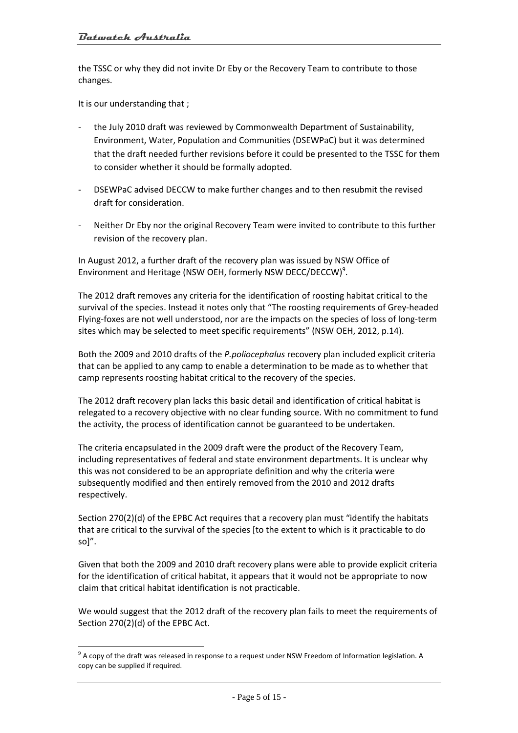the TSSC or why they did not invite Dr Eby or the Recovery Team to contribute to those changes.

It is our understanding that ;

 $\overline{a}$ 

- ‐ the July 2010 draft was reviewed by Commonwealth Department of Sustainability, Environment, Water, Population and Communities (DSEWPaC) but it was determined that the draft needed further revisions before it could be presented to the TSSC for them to consider whether it should be formally adopted.
- DSEWPaC advised DECCW to make further changes and to then resubmit the revised draft for consideration.
- ‐ Neither Dr Eby nor the original Recovery Team were invited to contribute to this further revision of the recovery plan.

In August 2012, a further draft of the recovery plan was issued by NSW Office of Environment and Heritage (NSW OEH, formerly NSW DECC/DECCW)<sup>9</sup>.

The 2012 draft removes any criteria for the identification of roosting habitat critical to the survival of the species. Instead it notes only that "The roosting requirements of Grey‐headed Flying‐foxes are not well understood, nor are the impacts on the species of loss of long‐term sites which may be selected to meet specific requirements" (NSW OEH, 2012, p.14).

Both the 2009 and 2010 drafts of the *P.poliocephalus* recovery plan included explicit criteria that can be applied to any camp to enable a determination to be made as to whether that camp represents roosting habitat critical to the recovery of the species.

The 2012 draft recovery plan lacks this basic detail and identification of critical habitat is relegated to a recovery objective with no clear funding source. With no commitment to fund the activity, the process of identification cannot be guaranteed to be undertaken.

The criteria encapsulated in the 2009 draft were the product of the Recovery Team, including representatives of federal and state environment departments. It is unclear why this was not considered to be an appropriate definition and why the criteria were subsequently modified and then entirely removed from the 2010 and 2012 drafts respectively.

Section 270(2)(d) of the EPBC Act requires that a recovery plan must "identify the habitats that are critical to the survival of the species [to the extent to which is it practicable to do so]".

Given that both the 2009 and 2010 draft recovery plans were able to provide explicit criteria for the identification of critical habitat, it appears that it would not be appropriate to now claim that critical habitat identification is not practicable.

We would suggest that the 2012 draft of the recovery plan fails to meet the requirements of Section 270(2)(d) of the EPBC Act.

 $9$  A copy of the draft was released in response to a request under NSW Freedom of Information legislation. A copy can be supplied if required.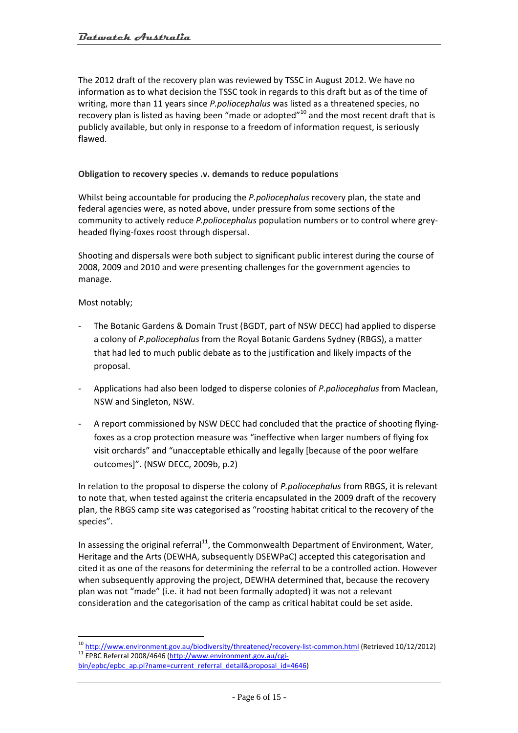The 2012 draft of the recovery plan was reviewed by TSSC in August 2012. We have no information as to what decision the TSSC took in regards to this draft but as of the time of writing, more than 11 years since *P.poliocephalus* was listed as a threatened species, no recovery plan is listed as having been "made or adopted"<sup>10</sup> and the most recent draft that is publicly available, but only in response to a freedom of information request, is seriously flawed.

## **Obligation to recovery species .v. demands to reduce populations**

Whilst being accountable for producing the *P.poliocephalus* recovery plan, the state and federal agencies were, as noted above, under pressure from some sections of the community to actively reduce *P.poliocephalus* population numbers or to control where grey‐ headed flying‐foxes roost through dispersal.

Shooting and dispersals were both subject to significant public interest during the course of 2008, 2009 and 2010 and were presenting challenges for the government agencies to manage.

Most notably;

 $\overline{a}$ 

- ‐ The Botanic Gardens & Domain Trust (BGDT, part of NSW DECC) had applied to disperse a colony of *P.poliocephalus* from the Royal Botanic Gardens Sydney (RBGS), a matter that had led to much public debate as to the justification and likely impacts of the proposal.
- ‐ Applications had also been lodged to disperse colonies of *P.poliocephalus* from Maclean, NSW and Singleton, NSW.
- ‐ A report commissioned by NSW DECC had concluded that the practice of shooting flying‐ foxes as a crop protection measure was "ineffective when larger numbers of flying fox visit orchards" and "unacceptable ethically and legally [because of the poor welfare outcomes]". (NSW DECC, 2009b, p.2)

In relation to the proposal to disperse the colony of *P.poliocephalus* from RBGS, it is relevant to note that, when tested against the criteria encapsulated in the 2009 draft of the recovery plan, the RBGS camp site was categorised as "roosting habitat critical to the recovery of the species".

In assessing the original referral<sup>11</sup>, the Commonwealth Department of Environment, Water, Heritage and the Arts (DEWHA, subsequently DSEWPaC) accepted this categorisation and cited it as one of the reasons for determining the referral to be a controlled action. However when subsequently approving the project, DEWHA determined that, because the recovery plan was not "made" (i.e. it had not been formally adopted) it was not a relevant consideration and the categorisation of the camp as critical habitat could be set aside.

<sup>&</sup>lt;sup>10</sup> http://www.environment.gov.au/biodiversity/threatened/recovery-list-common.html (Retrieved 10/12/2012) 11 EPBC Referral 2008/4646 (http://www.environment.gov.au/cgi-

bin/epbc/epbc\_ap.pl?name=current\_referral\_detail&proposal\_id=4646)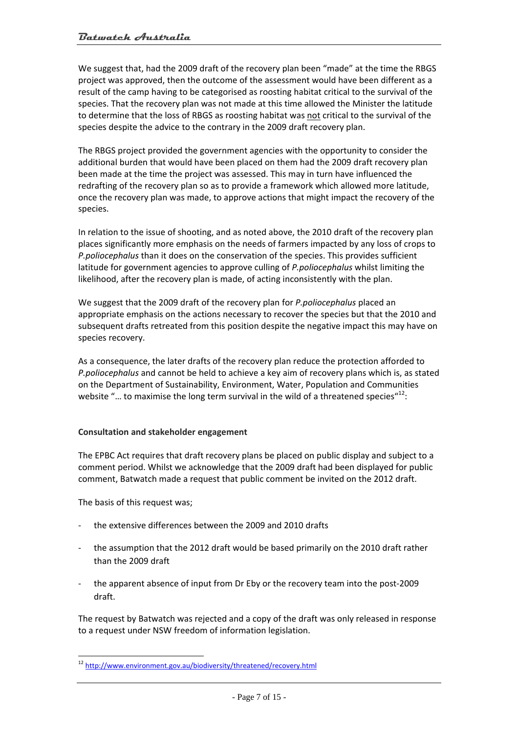We suggest that, had the 2009 draft of the recovery plan been "made" at the time the RBGS project was approved, then the outcome of the assessment would have been different as a result of the camp having to be categorised as roosting habitat critical to the survival of the species. That the recovery plan was not made at this time allowed the Minister the latitude to determine that the loss of RBGS as roosting habitat was not critical to the survival of the species despite the advice to the contrary in the 2009 draft recovery plan.

The RBGS project provided the government agencies with the opportunity to consider the additional burden that would have been placed on them had the 2009 draft recovery plan been made at the time the project was assessed. This may in turn have influenced the redrafting of the recovery plan so as to provide a framework which allowed more latitude, once the recovery plan was made, to approve actions that might impact the recovery of the species.

In relation to the issue of shooting, and as noted above, the 2010 draft of the recovery plan places significantly more emphasis on the needs of farmers impacted by any loss of crops to *P.poliocephalus* than it does on the conservation of the species. This provides sufficient latitude for government agencies to approve culling of *P.poliocephalus* whilst limiting the likelihood, after the recovery plan is made, of acting inconsistently with the plan.

We suggest that the 2009 draft of the recovery plan for *P.poliocephalus* placed an appropriate emphasis on the actions necessary to recover the species but that the 2010 and subsequent drafts retreated from this position despite the negative impact this may have on species recovery.

As a consequence, the later drafts of the recovery plan reduce the protection afforded to *P.poliocephalus* and cannot be held to achieve a key aim of recovery plans which is, as stated on the Department of Sustainability, Environment, Water, Population and Communities website "... to maximise the long term survival in the wild of a threatened species" $^{12}$ :

## **Consultation and stakeholder engagement**

The EPBC Act requires that draft recovery plans be placed on public display and subject to a comment period. Whilst we acknowledge that the 2009 draft had been displayed for public comment, Batwatch made a request that public comment be invited on the 2012 draft.

The basis of this request was;

 $\overline{a}$ 

- ‐ the extensive differences between the 2009 and 2010 drafts
- the assumption that the 2012 draft would be based primarily on the 2010 draft rather than the 2009 draft
- ‐ the apparent absence of input from Dr Eby or the recovery team into the post‐2009 draft.

The request by Batwatch was rejected and a copy of the draft was only released in response to a request under NSW freedom of information legislation.

<sup>&</sup>lt;sup>12</sup> http://www.environment.gov.au/biodiversity/threatened/recovery.html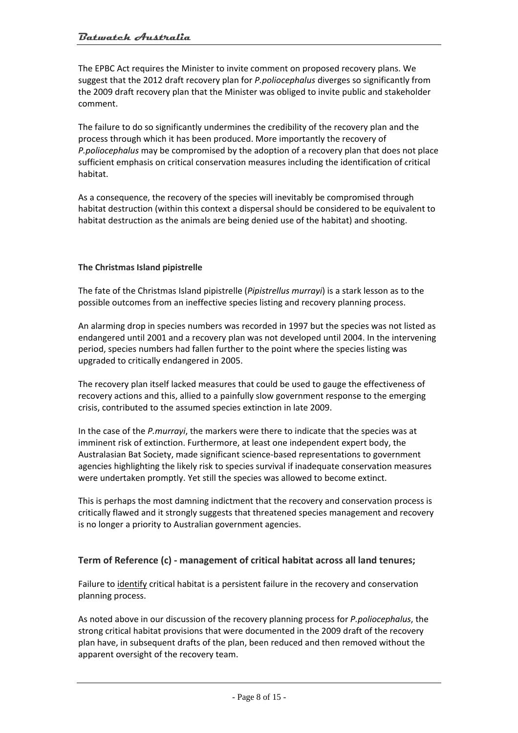The EPBC Act requires the Minister to invite comment on proposed recovery plans. We suggest that the 2012 draft recovery plan for *P.poliocephalus* diverges so significantly from the 2009 draft recovery plan that the Minister was obliged to invite public and stakeholder comment.

The failure to do so significantly undermines the credibility of the recovery plan and the process through which it has been produced. More importantly the recovery of *P.poliocephalus* may be compromised by the adoption of a recovery plan that does not place sufficient emphasis on critical conservation measures including the identification of critical habitat.

As a consequence, the recovery of the species will inevitably be compromised through habitat destruction (within this context a dispersal should be considered to be equivalent to habitat destruction as the animals are being denied use of the habitat) and shooting.

## **The Christmas Island pipistrelle**

The fate of the Christmas Island pipistrelle (*Pipistrellus murrayi*) is a stark lesson as to the possible outcomes from an ineffective species listing and recovery planning process.

An alarming drop in species numbers was recorded in 1997 but the species was not listed as endangered until 2001 and a recovery plan was not developed until 2004. In the intervening period, species numbers had fallen further to the point where the species listing was upgraded to critically endangered in 2005.

The recovery plan itself lacked measures that could be used to gauge the effectiveness of recovery actions and this, allied to a painfully slow government response to the emerging crisis, contributed to the assumed species extinction in late 2009.

In the case of the *P.murrayi*, the markers were there to indicate that the species was at imminent risk of extinction. Furthermore, at least one independent expert body, the Australasian Bat Society, made significant science‐based representations to government agencies highlighting the likely risk to species survival if inadequate conservation measures were undertaken promptly. Yet still the species was allowed to become extinct.

This is perhaps the most damning indictment that the recovery and conservation process is critically flawed and it strongly suggests that threatened species management and recovery is no longer a priority to Australian government agencies.

## **Term of Reference (c) ‐ management of critical habitat across all land tenures;**

Failure to identify critical habitat is a persistent failure in the recovery and conservation planning process.

As noted above in our discussion of the recovery planning process for *P.poliocephalus*, the strong critical habitat provisions that were documented in the 2009 draft of the recovery plan have, in subsequent drafts of the plan, been reduced and then removed without the apparent oversight of the recovery team.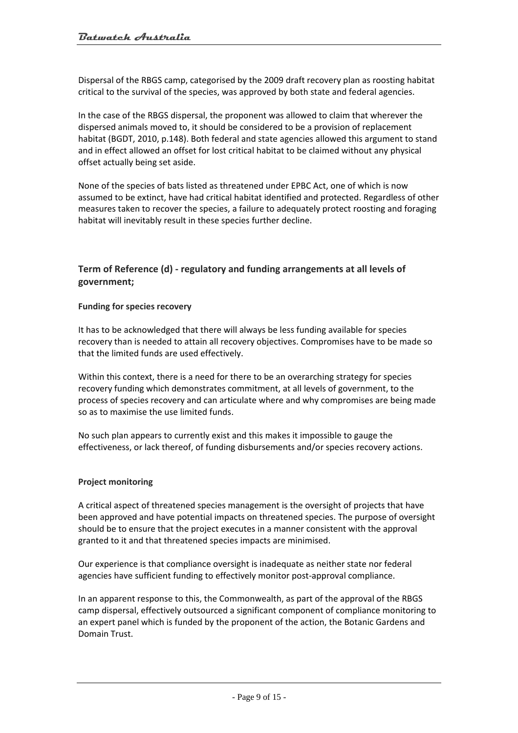Dispersal of the RBGS camp, categorised by the 2009 draft recovery plan as roosting habitat critical to the survival of the species, was approved by both state and federal agencies.

In the case of the RBGS dispersal, the proponent was allowed to claim that wherever the dispersed animals moved to, it should be considered to be a provision of replacement habitat (BGDT, 2010, p.148). Both federal and state agencies allowed this argument to stand and in effect allowed an offset for lost critical habitat to be claimed without any physical offset actually being set aside.

None of the species of bats listed as threatened under EPBC Act, one of which is now assumed to be extinct, have had critical habitat identified and protected. Regardless of other measures taken to recover the species, a failure to adequately protect roosting and foraging habitat will inevitably result in these species further decline.

# **Term of Reference (d) ‐ regulatory and funding arrangements at all levels of government;**

## **Funding for species recovery**

It has to be acknowledged that there will always be less funding available for species recovery than is needed to attain all recovery objectives. Compromises have to be made so that the limited funds are used effectively.

Within this context, there is a need for there to be an overarching strategy for species recovery funding which demonstrates commitment, at all levels of government, to the process of species recovery and can articulate where and why compromises are being made so as to maximise the use limited funds.

No such plan appears to currently exist and this makes it impossible to gauge the effectiveness, or lack thereof, of funding disbursements and/or species recovery actions.

#### **Project monitoring**

A critical aspect of threatened species management is the oversight of projects that have been approved and have potential impacts on threatened species. The purpose of oversight should be to ensure that the project executes in a manner consistent with the approval granted to it and that threatened species impacts are minimised.

Our experience is that compliance oversight is inadequate as neither state nor federal agencies have sufficient funding to effectively monitor post-approval compliance.

In an apparent response to this, the Commonwealth, as part of the approval of the RBGS camp dispersal, effectively outsourced a significant component of compliance monitoring to an expert panel which is funded by the proponent of the action, the Botanic Gardens and Domain Trust.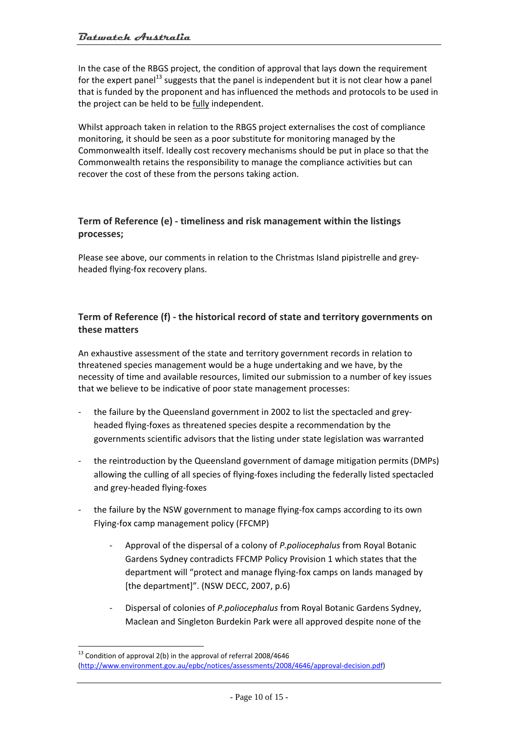In the case of the RBGS project, the condition of approval that lays down the requirement for the expert panel<sup>13</sup> suggests that the panel is independent but it is not clear how a panel that is funded by the proponent and has influenced the methods and protocols to be used in the project can be held to be fully independent.

Whilst approach taken in relation to the RBGS project externalises the cost of compliance monitoring, it should be seen as a poor substitute for monitoring managed by the Commonwealth itself. Ideally cost recovery mechanisms should be put in place so that the Commonwealth retains the responsibility to manage the compliance activities but can recover the cost of these from the persons taking action.

# **Term of Reference (e) ‐ timeliness and risk management within the listings processes;**

Please see above, our comments in relation to the Christmas Island pipistrelle and grey‐ headed flying‐fox recovery plans.

# **Term of Reference (f) ‐ the historical record of state and territory governments on these matters**

An exhaustive assessment of the state and territory government records in relation to threatened species management would be a huge undertaking and we have, by the necessity of time and available resources, limited our submission to a number of key issues that we believe to be indicative of poor state management processes:

- the failure by the Queensland government in 2002 to list the spectacled and greyheaded flying‐foxes as threatened species despite a recommendation by the governments scientific advisors that the listing under state legislation was warranted
- the reintroduction by the Queensland government of damage mitigation permits (DMPs) allowing the culling of all species of flying‐foxes including the federally listed spectacled and grey‐headed flying‐foxes
- ‐ the failure by the NSW government to manage flying‐fox camps according to its own Flying‐fox camp management policy (FFCMP)
	- ‐ Approval of the dispersal of a colony of *P.poliocephalus* from Royal Botanic Gardens Sydney contradicts FFCMP Policy Provision 1 which states that the department will "protect and manage flying‐fox camps on lands managed by [the department]". (NSW DECC, 2007, p.6)
	- ‐ Dispersal of colonies of *P.poliocephalus* from Royal Botanic Gardens Sydney, Maclean and Singleton Burdekin Park were all approved despite none of the

 $\overline{a}$  $13$  Condition of approval 2(b) in the approval of referral 2008/4646 (http://www.environment.gov.au/epbc/notices/assessments/2008/4646/approval‐decision.pdf)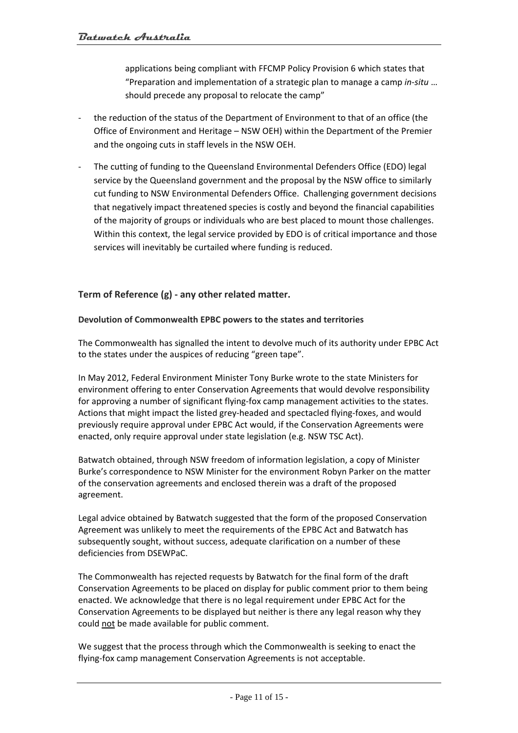applications being compliant with FFCMP Policy Provision 6 which states that "Preparation and implementation of a strategic plan to manage a camp *in‐situ* … should precede any proposal to relocate the camp"

- ‐ the reduction of the status of the Department of Environment to that of an office (the Office of Environment and Heritage – NSW OEH) within the Department of the Premier and the ongoing cuts in staff levels in the NSW OEH.
- The cutting of funding to the Queensland Environmental Defenders Office (EDO) legal service by the Queensland government and the proposal by the NSW office to similarly cut funding to NSW Environmental Defenders Office. Challenging government decisions that negatively impact threatened species is costly and beyond the financial capabilities of the majority of groups or individuals who are best placed to mount those challenges. Within this context, the legal service provided by EDO is of critical importance and those services will inevitably be curtailed where funding is reduced.

# **Term of Reference (g) ‐ any other related matter.**

## **Devolution of Commonwealth EPBC powers to the states and territories**

The Commonwealth has signalled the intent to devolve much of its authority under EPBC Act to the states under the auspices of reducing "green tape".

In May 2012, Federal Environment Minister Tony Burke wrote to the state Ministers for environment offering to enter Conservation Agreements that would devolve responsibility for approving a number of significant flying‐fox camp management activities to the states. Actions that might impact the listed grey‐headed and spectacled flying‐foxes, and would previously require approval under EPBC Act would, if the Conservation Agreements were enacted, only require approval under state legislation (e.g. NSW TSC Act).

Batwatch obtained, through NSW freedom of information legislation, a copy of Minister Burke's correspondence to NSW Minister for the environment Robyn Parker on the matter of the conservation agreements and enclosed therein was a draft of the proposed agreement.

Legal advice obtained by Batwatch suggested that the form of the proposed Conservation Agreement was unlikely to meet the requirements of the EPBC Act and Batwatch has subsequently sought, without success, adequate clarification on a number of these deficiencies from DSEWPaC.

The Commonwealth has rejected requests by Batwatch for the final form of the draft Conservation Agreements to be placed on display for public comment prior to them being enacted. We acknowledge that there is no legal requirement under EPBC Act for the Conservation Agreements to be displayed but neither is there any legal reason why they could not be made available for public comment.

We suggest that the process through which the Commonwealth is seeking to enact the flying‐fox camp management Conservation Agreements is not acceptable.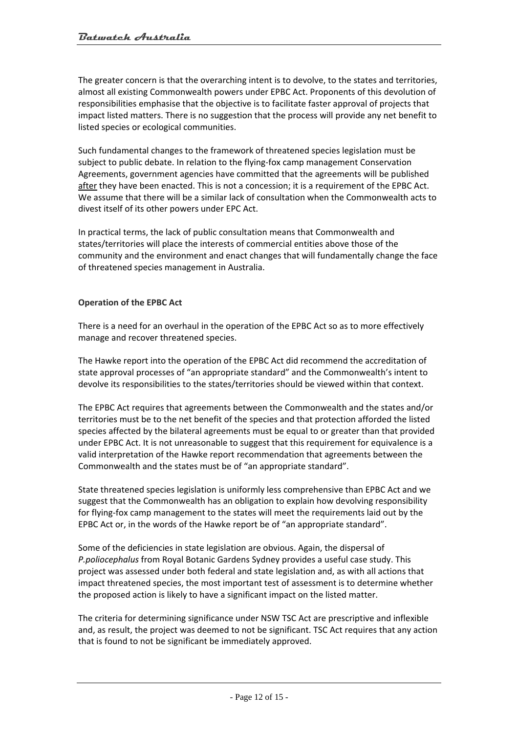The greater concern is that the overarching intent is to devolve, to the states and territories, almost all existing Commonwealth powers under EPBC Act. Proponents of this devolution of responsibilities emphasise that the objective is to facilitate faster approval of projects that impact listed matters. There is no suggestion that the process will provide any net benefit to listed species or ecological communities.

Such fundamental changes to the framework of threatened species legislation must be subject to public debate. In relation to the flying-fox camp management Conservation Agreements, government agencies have committed that the agreements will be published after they have been enacted. This is not a concession; it is a requirement of the EPBC Act. We assume that there will be a similar lack of consultation when the Commonwealth acts to divest itself of its other powers under EPC Act.

In practical terms, the lack of public consultation means that Commonwealth and states/territories will place the interests of commercial entities above those of the community and the environment and enact changes that will fundamentally change the face of threatened species management in Australia.

## **Operation of the EPBC Act**

There is a need for an overhaul in the operation of the EPBC Act so as to more effectively manage and recover threatened species.

The Hawke report into the operation of the EPBC Act did recommend the accreditation of state approval processes of "an appropriate standard" and the Commonwealth's intent to devolve its responsibilities to the states/territories should be viewed within that context.

The EPBC Act requires that agreements between the Commonwealth and the states and/or territories must be to the net benefit of the species and that protection afforded the listed species affected by the bilateral agreements must be equal to or greater than that provided under EPBC Act. It is not unreasonable to suggest that this requirement for equivalence is a valid interpretation of the Hawke report recommendation that agreements between the Commonwealth and the states must be of "an appropriate standard".

State threatened species legislation is uniformly less comprehensive than EPBC Act and we suggest that the Commonwealth has an obligation to explain how devolving responsibility for flying-fox camp management to the states will meet the requirements laid out by the EPBC Act or, in the words of the Hawke report be of "an appropriate standard".

Some of the deficiencies in state legislation are obvious. Again, the dispersal of *P.poliocephalus* from Royal Botanic Gardens Sydney provides a useful case study. This project was assessed under both federal and state legislation and, as with all actions that impact threatened species, the most important test of assessment is to determine whether the proposed action is likely to have a significant impact on the listed matter.

The criteria for determining significance under NSW TSC Act are prescriptive and inflexible and, as result, the project was deemed to not be significant. TSC Act requires that any action that is found to not be significant be immediately approved.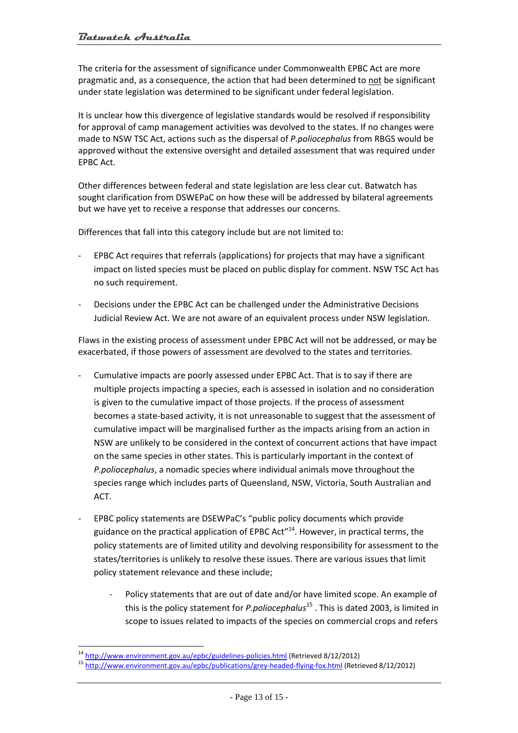The criteria for the assessment of significance under Commonwealth EPBC Act are more pragmatic and, as a consequence, the action that had been determined to not be significant under state legislation was determined to be significant under federal legislation.

It is unclear how this divergence of legislative standards would be resolved if responsibility for approval of camp management activities was devolved to the states. If no changes were made to NSW TSC Act, actions such as the dispersal of *P.poliocephalus* from RBGS would be approved without the extensive oversight and detailed assessment that was required under EPBC Act.

Other differences between federal and state legislation are less clear cut. Batwatch has sought clarification from DSWEPaC on how these will be addressed by bilateral agreements but we have yet to receive a response that addresses our concerns.

Differences that fall into this category include but are not limited to:

- ‐ EPBC Act requires that referrals (applications) for projects that may have a significant impact on listed species must be placed on public display for comment. NSW TSC Act has no such requirement.
- ‐ Decisions under the EPBC Act can be challenged under the Administrative Decisions Judicial Review Act. We are not aware of an equivalent process under NSW legislation.

Flaws in the existing process of assessment under EPBC Act will not be addressed, or may be exacerbated, if those powers of assessment are devolved to the states and territories.

- ‐ Cumulative impacts are poorly assessed under EPBC Act. That is to say if there are multiple projects impacting a species, each is assessed in isolation and no consideration is given to the cumulative impact of those projects. If the process of assessment becomes a state-based activity, it is not unreasonable to suggest that the assessment of cumulative impact will be marginalised further as the impacts arising from an action in NSW are unlikely to be considered in the context of concurrent actions that have impact on the same species in other states. This is particularly important in the context of *P.poliocephalus*, a nomadic species where individual animals move throughout the species range which includes parts of Queensland, NSW, Victoria, South Australian and ACT.
- ‐ EPBC policy statements are DSEWPaC's "public policy documents which provide guidance on the practical application of EPBC Act<sup> $n<sup>14</sup>$ . However, in practical terms, the</sup> policy statements are of limited utility and devolving responsibility for assessment to the states/territories is unlikely to resolve these issues. There are various issues that limit policy statement relevance and these include;
	- ‐ Policy statements that are out of date and/or have limited scope. An example of this is the policy statement for *P.poliocephalus*<sup>15</sup> . This is dated 2003, is limited in scope to issues related to impacts of the species on commercial crops and refers

 $\overline{a}$ 

<sup>&</sup>lt;sup>14</sup> http://www.environment.gov.au/epbc/guidelines-policies.html (Retrieved 8/12/2012)<br><sup>15</sup> http://www.environment.gov.au/epbc/publications/grey-headed-flying-fox.html (Retrieved 8/12/2012)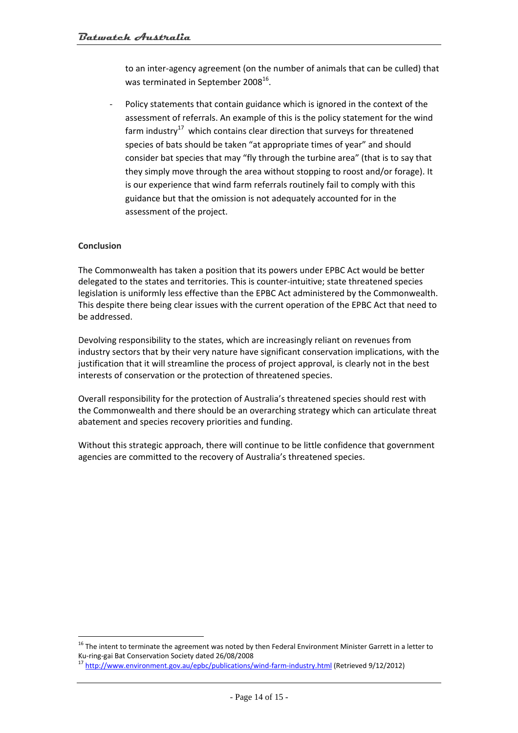to an inter-agency agreement (on the number of animals that can be culled) that was terminated in September 2008<sup>16</sup>.

Policy statements that contain guidance which is ignored in the context of the assessment of referrals. An example of this is the policy statement for the wind farm industry $17$  which contains clear direction that surveys for threatened species of bats should be taken "at appropriate times of year" and should consider bat species that may "fly through the turbine area" (that is to say that they simply move through the area without stopping to roost and/or forage). It is our experience that wind farm referrals routinely fail to comply with this guidance but that the omission is not adequately accounted for in the assessment of the project.

## **Conclusion**

 $\overline{a}$ 

The Commonwealth has taken a position that its powers under EPBC Act would be better delegated to the states and territories. This is counter‐intuitive; state threatened species legislation is uniformly less effective than the EPBC Act administered by the Commonwealth. This despite there being clear issues with the current operation of the EPBC Act that need to be addressed.

Devolving responsibility to the states, which are increasingly reliant on revenues from industry sectors that by their very nature have significant conservation implications, with the justification that it will streamline the process of project approval, is clearly not in the best interests of conservation or the protection of threatened species.

Overall responsibility for the protection of Australia's threatened species should rest with the Commonwealth and there should be an overarching strategy which can articulate threat abatement and species recovery priorities and funding.

Without this strategic approach, there will continue to be little confidence that government agencies are committed to the recovery of Australia's threatened species.

<sup>&</sup>lt;sup>16</sup> The intent to terminate the agreement was noted by then Federal Environment Minister Garrett in a letter to Ku-ring-gai Bat Conservation Society dated 26/08/2008

http://www.environment.gov.au/epbc/publications/wind-farm-industry.html (Retrieved 9/12/2012)